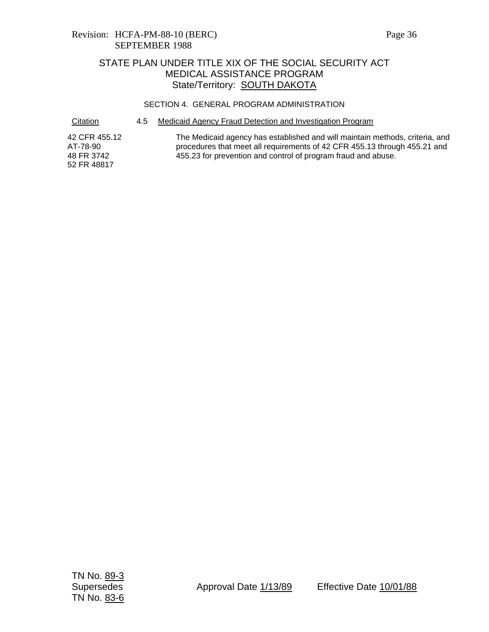### Revision: HCFA-PM-88-10 (BERC) Page 36 SEPTEMBER 1988

## STATE PLAN UNDER TITLE XIX OF THE SOCIAL SECURITY ACT MEDICAL ASSISTANCE PROGRAM State/Territory: SOUTH DAKOTA

#### SECTION 4. GENERAL PROGRAM ADMINISTRATION

Citation 4.5 Medicaid Agency Fraud Detection and Investigation Program

42 CFR 455.12 AT-78-90 48 FR 3742 52 FR 48817 The Medicaid agency has established and will maintain methods, criteria, and procedures that meet all requirements of 42 CFR 455.13 through 455.21 and 455.23 for prevention and control of program fraud and abuse.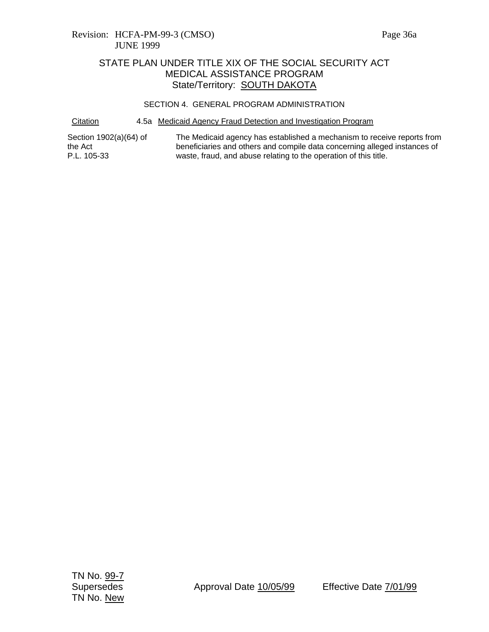#### SECTION 4. GENERAL PROGRAM ADMINISTRATION

Citation 4.5a Medicaid Agency Fraud Detection and Investigation Program

Section 1902(a)(64) of the Act P.L. 105-33 The Medicaid agency has established a mechanism to receive reports from beneficiaries and others and compile data concerning alleged instances of waste, fraud, and abuse relating to the operation of this title.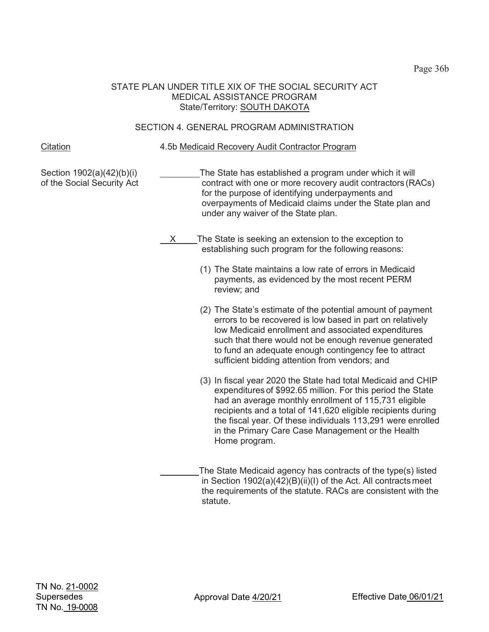Page 36b

### STATE PLAN UNDER TITLE XIX OF THE SOCIAL SECURITY ACT MEDICAL ASSISTANCE PROGRAM State/Territory: SOUTH DAKOTA

## SECTION 4. GENERAL PROGRAM ADMINISTRATION

Citation 4.5b Medicaid Recovery Audit Contractor Program

Section 1902(a)(42)(b)(i) of the Social Security Act The State has established a program under which it will contract with one or more recovery audit contractors (RACs) for the purpose of identifying underpayments and overpayments of Medicaid claims under the State plan and under any waiver of the State plan.

- X The State is seeking an extension to the exception to establishing such program for the following reasons:
	- (1) The State maintains a low rate of errors in Medicaid payments, as evidenced by the most recent PERM review; and
	- (2) The State's estimate of the potential amount of payment errors to be recovered is low based in part on relatively low Medicaid enrollment and associated expenditures such that there would not be enough revenue generated to fund an adequate enough contingency fee to attract sufficient bidding attention from vendors; and
	- (3) In fiscal year 2020 the State had total Medicaid and CHIP expenditures of \$992.65 million. For this period the State had an average monthly enrollment of 115,731 eligible recipients and a total of 141,620 eligible recipients during the fiscal year. Of these individuals 113,291 were enrolled in the Primary Care Case Management or the Health Home program.
	- The State Medicaid agency has contracts of the type(s) listed in Section 1902(a)(42)(B)(ii)(I) of the Act. All contracts meet the requirements of the statute. RACs are consistent with the statute.